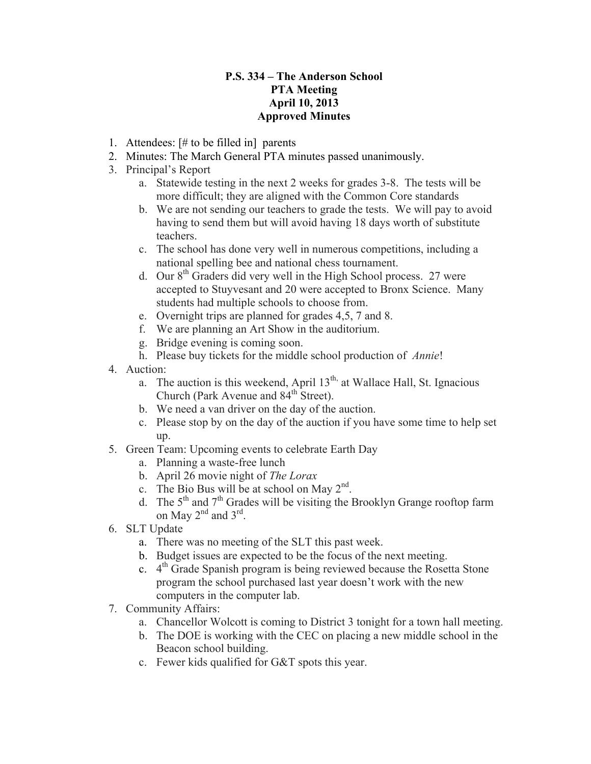## **P.S. 334 – The Anderson School PTA Meeting April 10, 2013 Approved Minutes**

- 1. Attendees: [# to be filled in] parents
- 2. Minutes: The March General PTA minutes passed unanimously.
- 3. Principal's Report
	- a. Statewide testing in the next 2 weeks for grades 3-8. The tests will be more difficult; they are aligned with the Common Core standards
	- b. We are not sending our teachers to grade the tests. We will pay to avoid having to send them but will avoid having 18 days worth of substitute teachers.
	- c. The school has done very well in numerous competitions, including a national spelling bee and national chess tournament.
	- d. Our  $8<sup>th</sup>$  Graders did very well in the High School process. 27 were accepted to Stuyvesant and 20 were accepted to Bronx Science. Many students had multiple schools to choose from.
	- e. Overnight trips are planned for grades 4,5, 7 and 8.
	- f. We are planning an Art Show in the auditorium.
	- g. Bridge evening is coming soon.
	- h. Please buy tickets for the middle school production of *Annie*!
- 4. Auction:
	- a. The auction is this weekend, April  $13<sup>th</sup>$ , at Wallace Hall, St. Ignacious Church (Park Avenue and  $84<sup>th</sup>$  Street).
	- b. We need a van driver on the day of the auction.
	- c. Please stop by on the day of the auction if you have some time to help set up.
- 5. Green Team: Upcoming events to celebrate Earth Day
	- a. Planning a waste-free lunch
	- b. April 26 movie night of *The Lorax*
	- c. The Bio Bus will be at school on May  $2<sup>nd</sup>$ .
	- d. The  $5<sup>th</sup>$  and  $7<sup>th</sup>$  Grades will be visiting the Brooklyn Grange rooftop farm on May  $2^{nd}$  and  $3^{rd}$ .
- 6. SLT Update
	- a. There was no meeting of the SLT this past week.
	- b. Budget issues are expected to be the focus of the next meeting.
	- c.  $4<sup>th</sup>$  Grade Spanish program is being reviewed because the Rosetta Stone program the school purchased last year doesn't work with the new computers in the computer lab.
- 7. Community Affairs:
	- a. Chancellor Wolcott is coming to District 3 tonight for a town hall meeting.
	- b. The DOE is working with the CEC on placing a new middle school in the Beacon school building.
	- c. Fewer kids qualified for G&T spots this year.